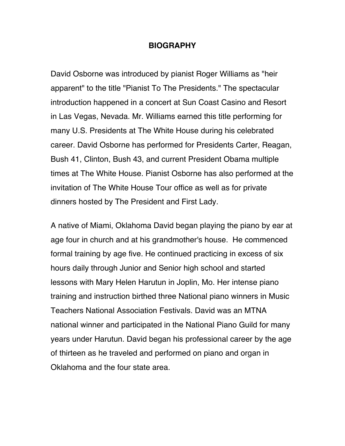## **BIOGRAPHY**

David Osborne was introduced by pianist Roger Williams as "heir apparent" to the title "Pianist To The Presidents." The spectacular introduction happened in a concert at Sun Coast Casino and Resort in Las Vegas, Nevada. Mr. Williams earned this title performing for many U.S. Presidents at The White House during his celebrated career. David Osborne has performed for Presidents Carter, Reagan, Bush 41, Clinton, Bush 43, and current President Obama multiple times at The White House. Pianist Osborne has also performed at the invitation of The White House Tour office as well as for private dinners hosted by The President and First Lady.

A native of Miami, Oklahoma David began playing the piano by ear at age four in church and at his grandmother's house. He commenced formal training by age five. He continued practicing in excess of six hours daily through Junior and Senior high school and started lessons with Mary Helen Harutun in Joplin, Mo. Her intense piano training and instruction birthed three National piano winners in Music Teachers National Association Festivals. David was an MTNA national winner and participated in the National Piano Guild for many years under Harutun. David began his professional career by the age of thirteen as he traveled and performed on piano and organ in Oklahoma and the four state area.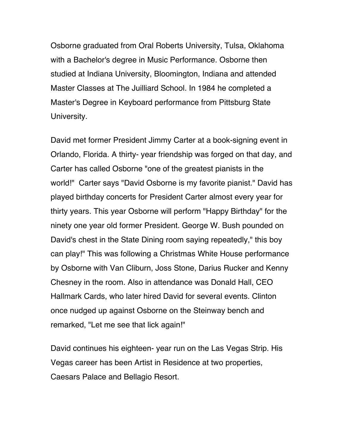Osborne graduated from Oral Roberts University, Tulsa, Oklahoma with a Bachelor's degree in Music Performance. Osborne then studied at Indiana University, Bloomington, Indiana and attended Master Classes at The Juilliard School. In 1984 he completed a Master's Degree in Keyboard performance from Pittsburg State University.

David met former President Jimmy Carter at a book-signing event in Orlando, Florida. A thirty- year friendship was forged on that day, and Carter has called Osborne "one of the greatest pianists in the world!" Carter says "David Osborne is my favorite pianist." David has played birthday concerts for President Carter almost every year for thirty years. This year Osborne will perform "Happy Birthday" for the ninety one year old former President. George W. Bush pounded on David's chest in the State Dining room saying repeatedly," this boy can play!" This was following a Christmas White House performance by Osborne with Van Cliburn, Joss Stone, Darius Rucker and Kenny Chesney in the room. Also in attendance was Donald Hall, CEO Hallmark Cards, who later hired David for several events. Clinton once nudged up against Osborne on the Steinway bench and remarked, "Let me see that lick again!"

David continues his eighteen- year run on the Las Vegas Strip. His Vegas career has been Artist in Residence at two properties, Caesars Palace and Bellagio Resort.